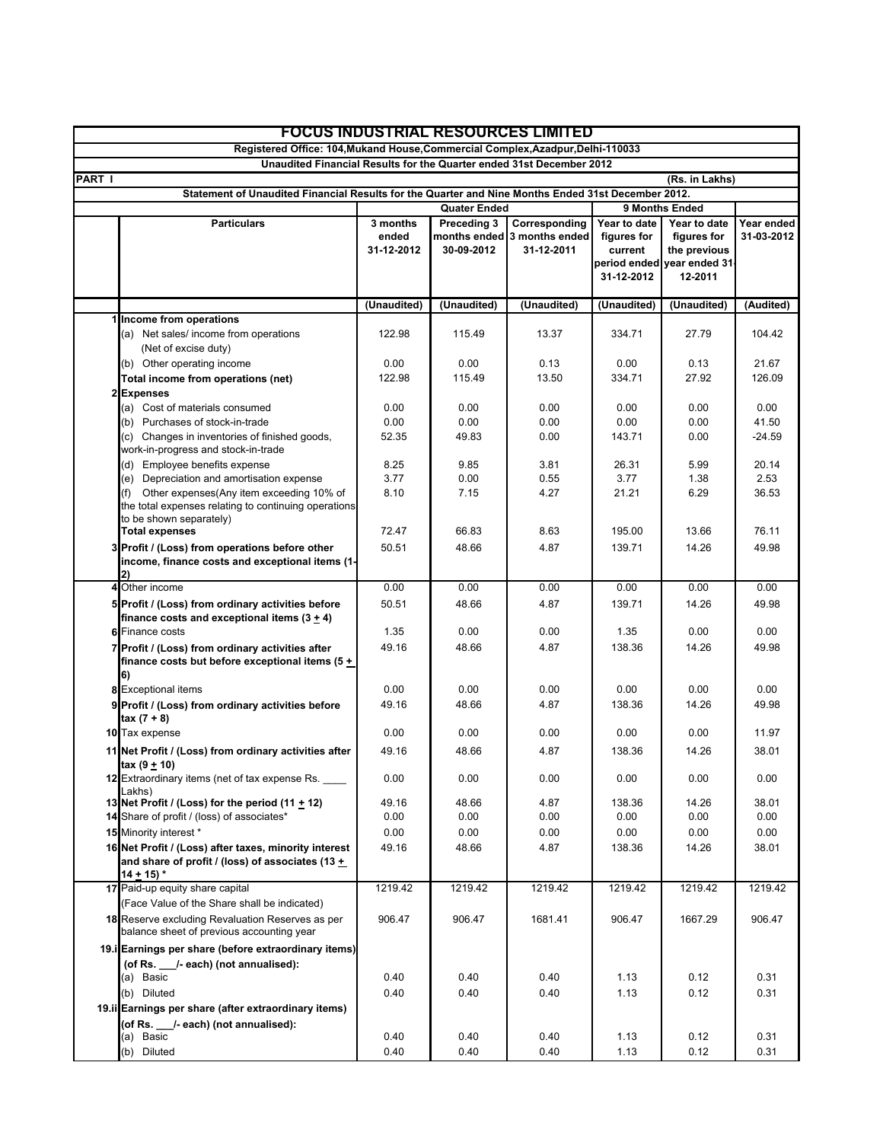|                | <b>FOCUS INDUSTRIAL RESOURCES LIMITED</b>                                                                                          |                                 |                           |                                                            |                                                      |                                                                                      |                          |
|----------------|------------------------------------------------------------------------------------------------------------------------------------|---------------------------------|---------------------------|------------------------------------------------------------|------------------------------------------------------|--------------------------------------------------------------------------------------|--------------------------|
|                | Registered Office: 104, Mukand House, Commercial Complex, Azadpur, Delhi-110033                                                    |                                 |                           |                                                            |                                                      |                                                                                      |                          |
|                | Unaudited Financial Results for the Quarter ended 31st December 2012                                                               |                                 |                           |                                                            |                                                      |                                                                                      |                          |
| <b>PART I</b>  |                                                                                                                                    |                                 |                           |                                                            |                                                      | (Rs. in Lakhs)                                                                       |                          |
|                | Statement of Unaudited Financial Results for the Quarter and Nine Months Ended 31st December 2012.                                 |                                 |                           |                                                            |                                                      |                                                                                      |                          |
|                |                                                                                                                                    | <b>Quater Ended</b>             |                           |                                                            | 9 Months Ended                                       |                                                                                      |                          |
|                | <b>Particulars</b>                                                                                                                 | 3 months<br>ended<br>31-12-2012 | Preceding 3<br>30-09-2012 | Corresponding<br>months ended 3 months ended<br>31-12-2011 | Year to date<br>figures for<br>current<br>31-12-2012 | Year to date<br>figures for<br>the previous<br>period ended vear ended 31<br>12-2011 | Year ended<br>31-03-2012 |
|                |                                                                                                                                    | (Unaudited)                     | (Unaudited)               | (Unaudited)                                                | (Unaudited)                                          | (Unaudited)                                                                          | (Audited)                |
|                | Income from operations                                                                                                             |                                 |                           |                                                            |                                                      |                                                                                      |                          |
|                | (a) Net sales/ income from operations<br>(Net of excise duty)<br>(b) Other operating income                                        | 122.98<br>0.00                  | 115.49<br>0.00            | 13.37<br>0.13                                              | 334.71<br>0.00                                       | 27.79<br>0.13                                                                        | 104.42<br>21.67          |
|                | Total income from operations (net)                                                                                                 | 122.98                          | 115.49                    | 13.50                                                      | 334.71                                               | 27.92                                                                                | 126.09                   |
| $\overline{2}$ | <b>Expenses</b>                                                                                                                    |                                 |                           |                                                            |                                                      |                                                                                      |                          |
|                | (a) Cost of materials consumed                                                                                                     | 0.00                            | 0.00                      | 0.00                                                       | 0.00                                                 | 0.00                                                                                 | 0.00                     |
|                | (b) Purchases of stock-in-trade                                                                                                    | 0.00                            | 0.00                      | 0.00                                                       | 0.00                                                 | 0.00                                                                                 | 41.50                    |
|                | (c) Changes in inventories of finished goods,<br>work-in-progress and stock-in-trade                                               | 52.35                           | 49.83                     | 0.00                                                       | 143.71                                               | 0.00                                                                                 | $-24.59$                 |
|                | (d) Employee benefits expense                                                                                                      | 8.25                            | 9.85                      | 3.81                                                       | 26.31                                                | 5.99                                                                                 | 20.14                    |
|                | (e) Depreciation and amortisation expense                                                                                          | 3.77                            | 0.00                      | 0.55                                                       | 3.77                                                 | 1.38                                                                                 | 2.53                     |
|                | Other expenses(Any item exceeding 10% of<br>(f)<br>the total expenses relating to continuing operations<br>to be shown separately) | 8.10                            | 7.15                      | 4.27                                                       | 21.21                                                | 6.29                                                                                 | 36.53                    |
|                | <b>Total expenses</b>                                                                                                              | 72.47                           | 66.83                     | 8.63                                                       | 195.00                                               | 13.66                                                                                | 76.11                    |
|                | 3 Profit / (Loss) from operations before other<br>income, finance costs and exceptional items (1-<br>2)                            | 50.51                           | 48.66                     | 4.87                                                       | 139.71                                               | 14.26                                                                                | 49.98                    |
|                | 4 Other income                                                                                                                     | 0.00                            | 0.00                      | 0.00                                                       | 0.00                                                 | 0.00                                                                                 | 0.00                     |
|                | 5 Profit / (Loss) from ordinary activities before<br>finance costs and exceptional items $(3 + 4)$                                 | 50.51                           | 48.66                     | 4.87                                                       | 139.71                                               | 14.26                                                                                | 49.98                    |
|                | <b>6</b> Finance costs                                                                                                             | 1.35                            | 0.00                      | 0.00                                                       | 1.35                                                 | 0.00                                                                                 | 0.00                     |
|                | Profit / (Loss) from ordinary activities after<br>finance costs but before exceptional items (5 +<br>6)                            | 49.16                           | 48.66                     | 4.87                                                       | 138.36                                               | 14.26                                                                                | 49.98                    |
|                | 8 Exceptional items                                                                                                                | 0.00                            | 0.00                      | 0.00                                                       | 0.00                                                 | 0.00                                                                                 | 0.00                     |
|                | 9 Profit / (Loss) from ordinary activities before<br>$\text{tax} (7 + 8)$                                                          | 49.16                           | 48.66                     | 4.87                                                       | 138.36                                               | 14.26                                                                                | 49.98                    |
|                | 10 Tax expense                                                                                                                     | 0.00                            | 0.00                      | 0.00                                                       | 0.00                                                 | 0.00                                                                                 | 11.97                    |
|                | 11 Net Profit / (Loss) from ordinary activities after<br>$tax(9 + 10)$                                                             | 49.16                           | 48.66                     | 4.87                                                       | 138.36                                               | 14.26                                                                                | 38.01                    |
|                | 12 Extraordinary items (net of tax expense Rs.<br>Lakhs)                                                                           | 0.00                            | 0.00                      | 0.00                                                       | 0.00                                                 | 0.00                                                                                 | 0.00                     |
|                | 13 Net Profit / (Loss) for the period $(11 + 12)$                                                                                  | 49.16                           | 48.66                     | 4.87                                                       | 138.36                                               | 14.26                                                                                | 38.01                    |
|                | 14 Share of profit / (loss) of associates*                                                                                         | 0.00                            | 0.00                      | 0.00                                                       | 0.00                                                 | 0.00                                                                                 | 0.00                     |
|                | 15 Minority interest *                                                                                                             | 0.00                            | 0.00                      | 0.00                                                       | 0.00                                                 | 0.00                                                                                 | 0.00                     |
|                | 16 Net Profit / (Loss) after taxes, minority interest<br>and share of profit / (loss) of associates (13 +<br>$14 + 15$             | 49.16                           | 48.66                     | 4.87                                                       | 138.36                                               | 14.26                                                                                | 38.01                    |
|                | 17 Paid-up equity share capital                                                                                                    | 1219.42                         | 1219.42                   | 1219.42                                                    | 1219.42                                              | 1219.42                                                                              | 1219.42                  |
|                | (Face Value of the Share shall be indicated)                                                                                       |                                 |                           |                                                            |                                                      |                                                                                      |                          |
|                | 18 Reserve excluding Revaluation Reserves as per<br>balance sheet of previous accounting year                                      | 906.47                          | 906.47                    | 1681.41                                                    | 906.47                                               | 1667.29                                                                              | 906.47                   |
|                | 19.i Earnings per share (before extraordinary items)                                                                               |                                 |                           |                                                            |                                                      |                                                                                      |                          |
|                | (of Rs. /-each) (not annualised):                                                                                                  |                                 |                           |                                                            |                                                      |                                                                                      |                          |
|                | (a) Basic                                                                                                                          | 0.40                            | 0.40                      | 0.40                                                       | 1.13                                                 | 0.12                                                                                 | 0.31                     |
|                | (b) Diluted                                                                                                                        | 0.40                            | 0.40                      | 0.40                                                       | 1.13                                                 | 0.12                                                                                 | 0.31                     |
|                | 19.ii Earnings per share (after extraordinary items)                                                                               |                                 |                           |                                                            |                                                      |                                                                                      |                          |
|                | (of Rs. /-each) (not annualised):<br>(a) Basic                                                                                     | 0.40                            | 0.40                      | 0.40                                                       | 1.13                                                 | 0.12                                                                                 | 0.31                     |
|                | (b) Diluted                                                                                                                        | 0.40                            | 0.40                      | 0.40                                                       | 1.13                                                 | 0.12                                                                                 | 0.31                     |